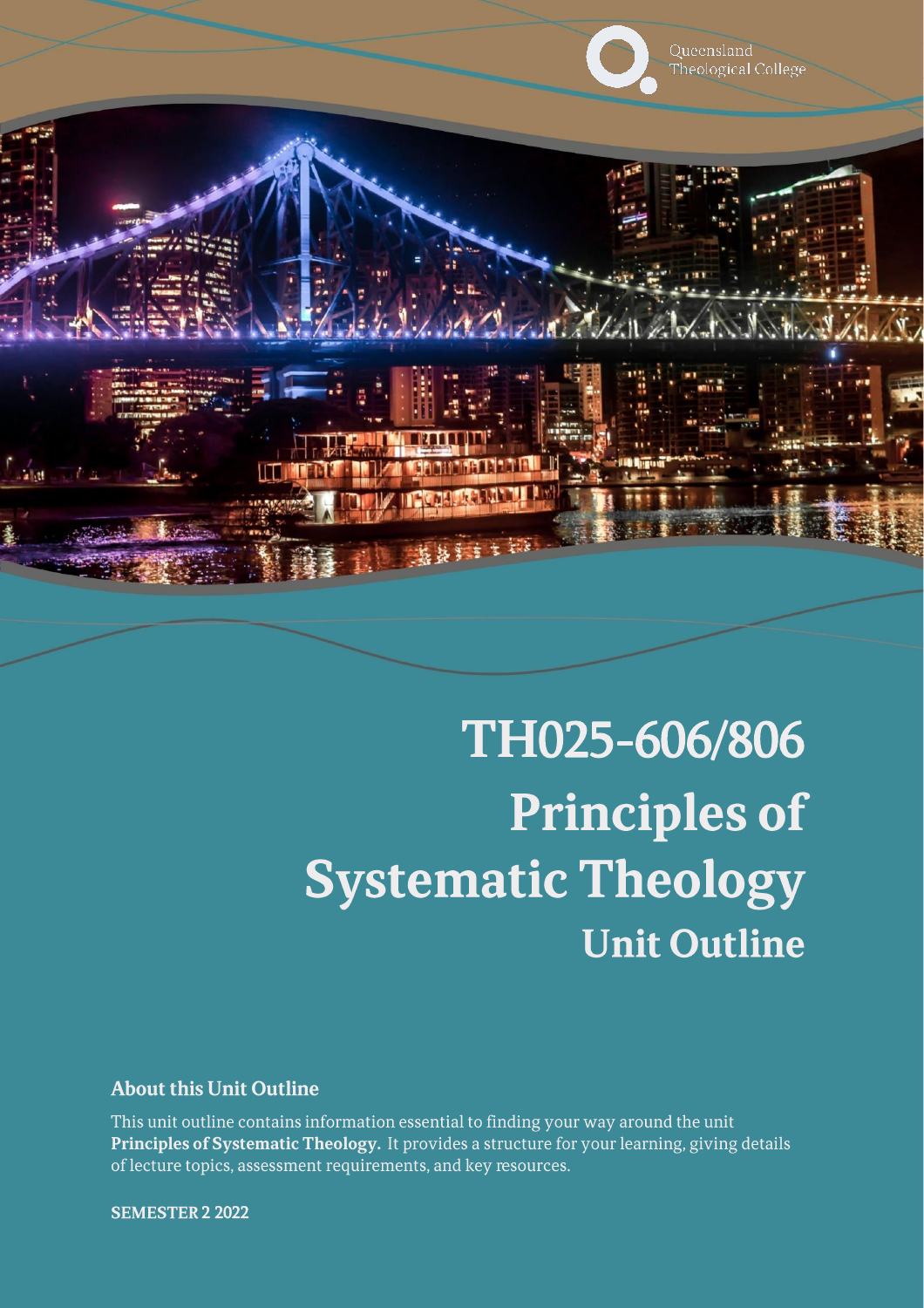

# TH025-606/806 **Principles of Systematic Theology Unit Outline**

#### **About this Unit Outline**

This unit outline contains information essential to finding your way around the unit Principles of Systematic Theology. It provides a structure for your learning, giving details of lecture topics, assessment requirements, and key resources.

**SEMESTER 2 2022**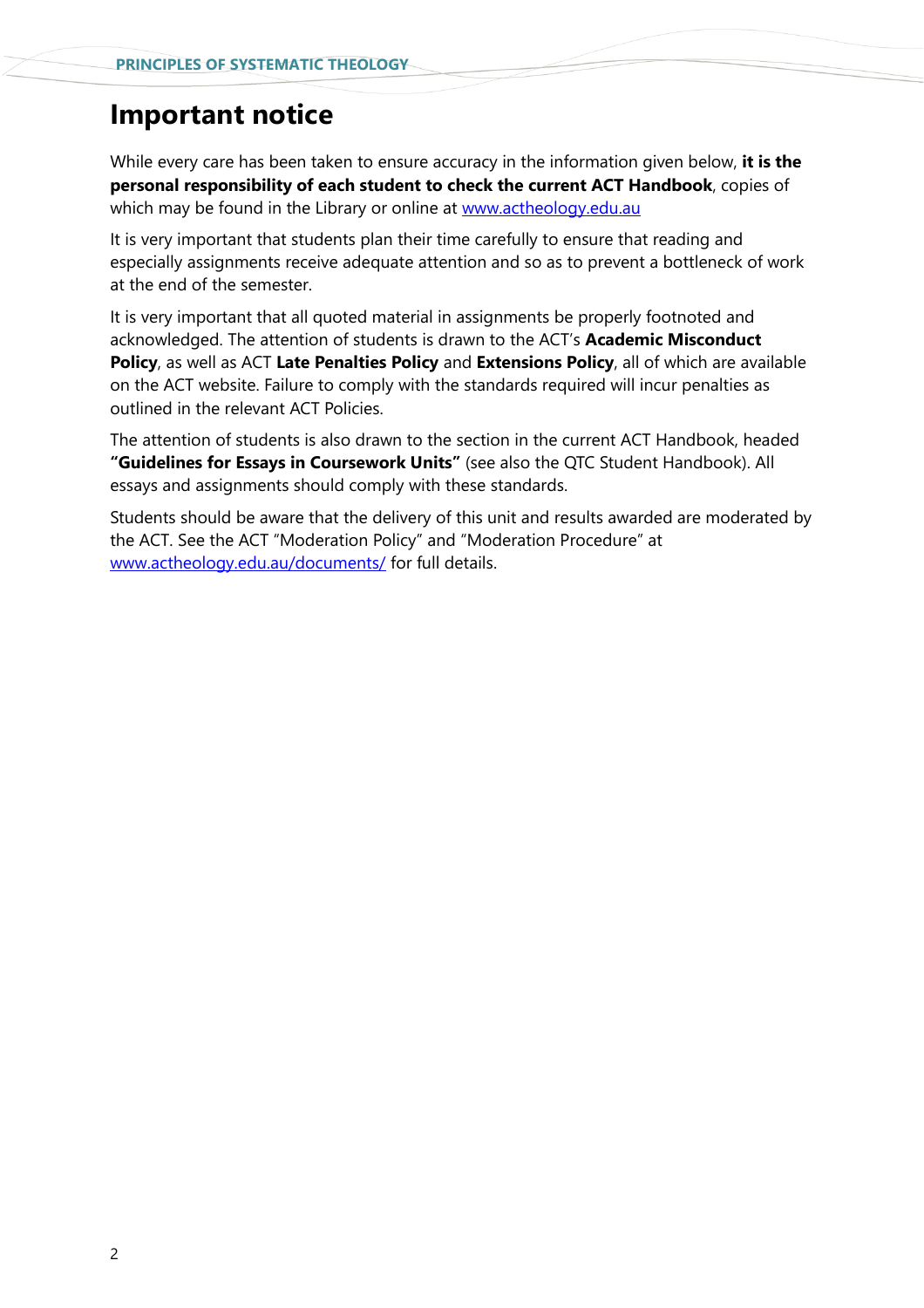### **Important notice**

While every care has been taken to ensure accuracy in the information given below, **it is the personal responsibility of each student to check the current ACT Handbook**, copies of which may be found in the Library or online at [www.actheology.edu.au](http://www.actheology.edu.au/)

It is very important that students plan their time carefully to ensure that reading and especially assignments receive adequate attention and so as to prevent a bottleneck of work at the end of the semester.

It is very important that all quoted material in assignments be properly footnoted and acknowledged. The attention of students is drawn to the ACT's **Academic Misconduct Policy**, as well as ACT **Late Penalties Policy** and **Extensions Policy**, all of which are available on the ACT website. Failure to comply with the standards required will incur penalties as outlined in the relevant ACT Policies.

The attention of students is also drawn to the section in the current ACT Handbook, headed **"Guidelines for Essays in Coursework Units"** (see also the QTC Student Handbook). All essays and assignments should comply with these standards.

Students should be aware that the delivery of this unit and results awarded are moderated by the ACT. See the ACT "Moderation Policy" and "Moderation Procedure" at [www.actheology.edu.au/documents/](http://www.actheology.edu.au/documents/) for full details.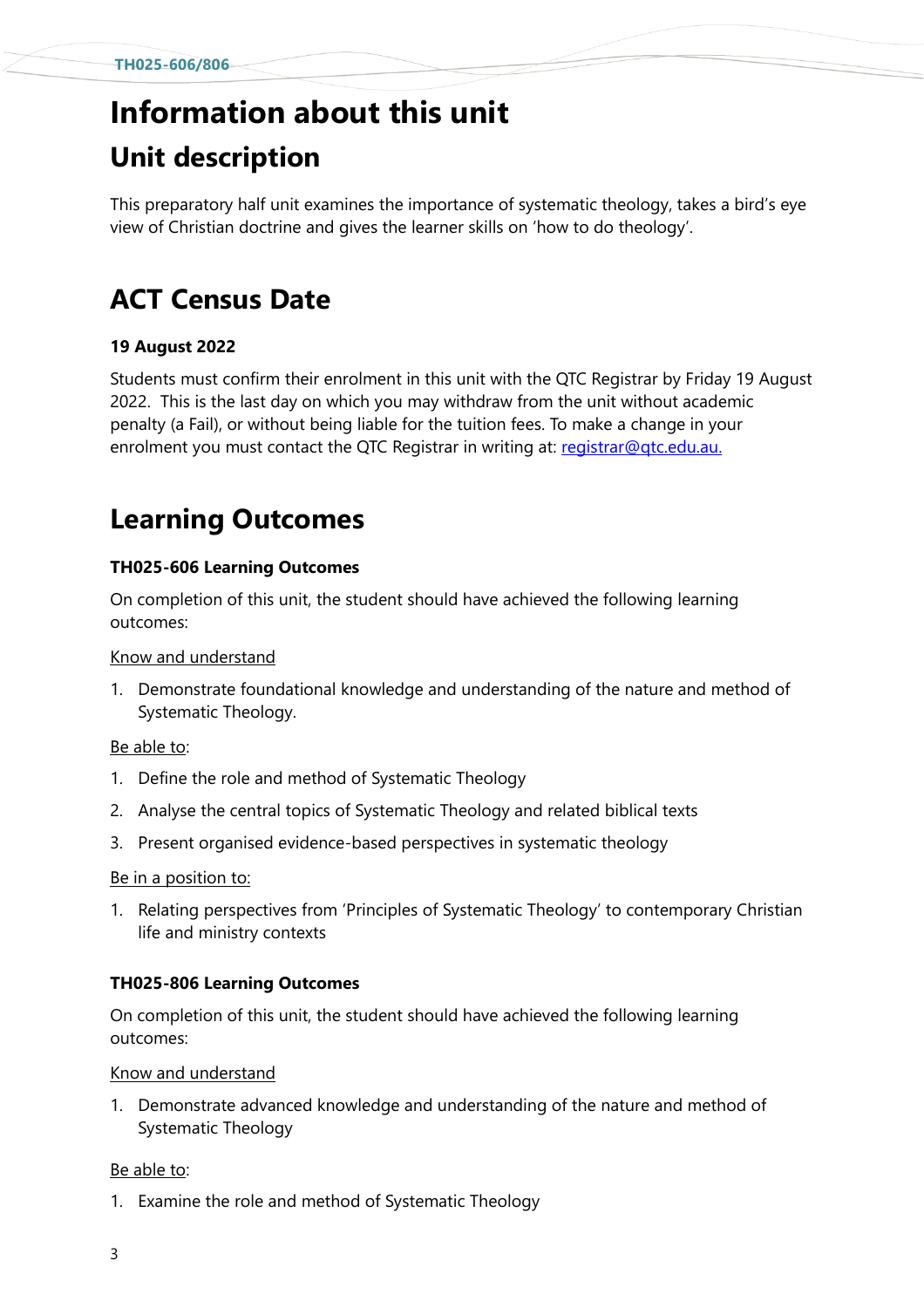# **Information about this unit Unit description**

This preparatory half unit examines the importance of systematic theology, takes a bird's eye view of Christian doctrine and gives the learner skills on 'how to do theology'.

# **ACT Census Date**

#### **19 August 2022**

Students must confirm their enrolment in this unit with the QTC Registrar by Friday 19 August 2022. This is the last day on which you may withdraw from the unit without academic penalty (a Fail), or without being liable for the tuition fees. To make a change in your enrolment you must contact the QTC Registrar in writing at: [registrar@qtc.edu.au.](mailto:registrar@qtc.edu.au)

# **Learning Outcomes**

#### **TH025-606 Learning Outcomes**

On completion of this unit, the student should have achieved the following learning outcomes:

#### Know and understand

1. [Demonstrate](https://www.actheology.edu.au/unit/TH006-612/#demonstrate) [foundational](https://www.actheology.edu.au/unit/TH006-612/#foundational) knowledge and understanding of the nature and method of Systematic Theology.

#### Be able to:

- 1. [Define](https://www.actheology.edu.au/unit/TH006-612/#define) the role and method of Systematic Theology
- 2. Analyse the central topics of Systematic Theology and related biblical texts
- 3. Present [organised](https://www.actheology.edu.au/unit/TH006-612/#organised) evidence-based perspectives in systematic theology

#### Be in a position to:

1. Relating perspectives from 'Principles of Systematic Theology' to contemporary Christian life and ministry contexts

#### **TH025-806 Learning Outcomes**

On completion of this unit, the student should have achieved the following learning outcomes:

Know and understand

1. Demonstrate advanced knowledge and understanding of the nature and method of Systematic Theology

#### Be able to:

1. Examine the role and method of Systematic Theology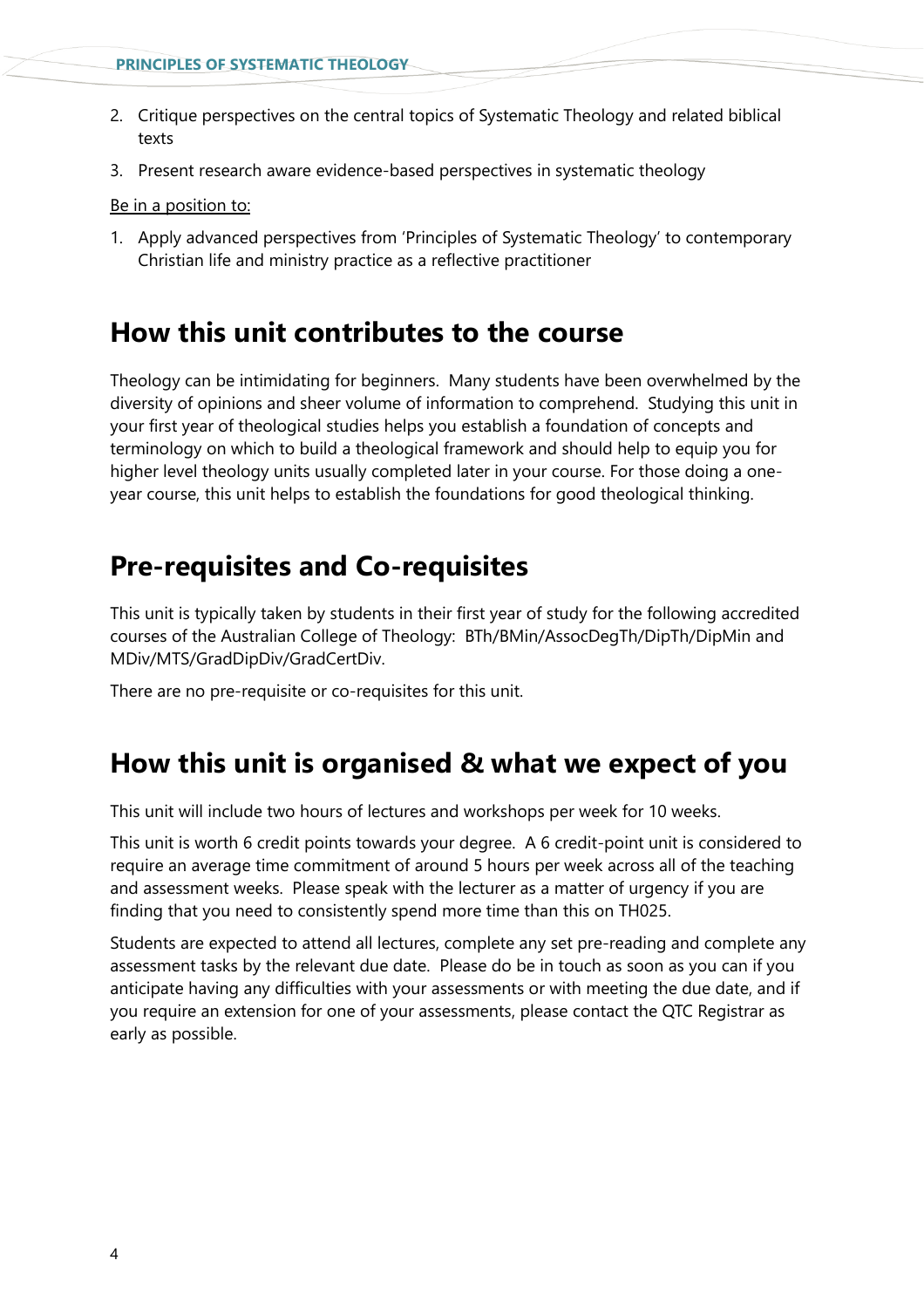- 2. Critique perspectives on the central topics of Systematic Theology and related biblical texts
- 3. Present research aware evidence-based perspectives in systematic theology

Be in a position to:

1. Apply advanced perspectives from 'Principles of Systematic Theology' to contemporary Christian life and ministry practice as a reflective practitioner

### **How this unit contributes to the course**

Theology can be intimidating for beginners. Many students have been overwhelmed by the diversity of opinions and sheer volume of information to comprehend. Studying this unit in your first year of theological studies helps you establish a foundation of concepts and terminology on which to build a theological framework and should help to equip you for higher level theology units usually completed later in your course. For those doing a oneyear course, this unit helps to establish the foundations for good theological thinking.

### **Pre-requisites and Co-requisites**

This unit is typically taken by students in their first year of study for the following accredited courses of the Australian College of Theology: BTh/BMin/AssocDegTh/DipTh/DipMin and MDiv/MTS/GradDipDiv/GradCertDiv.

There are no pre-requisite or co-requisites for this unit.

# **How this unit is organised & what we expect of you**

This unit will include two hours of lectures and workshops per week for 10 weeks.

This unit is worth 6 credit points towards your degree. A 6 credit-point unit is considered to require an average time commitment of around 5 hours per week across all of the teaching and assessment weeks. Please speak with the lecturer as a matter of urgency if you are finding that you need to consistently spend more time than this on TH025.

Students are expected to attend all lectures, complete any set pre-reading and complete any assessment tasks by the relevant due date. Please do be in touch as soon as you can if you anticipate having any difficulties with your assessments or with meeting the due date, and if you require an extension for one of your assessments, please contact the QTC Registrar as early as possible.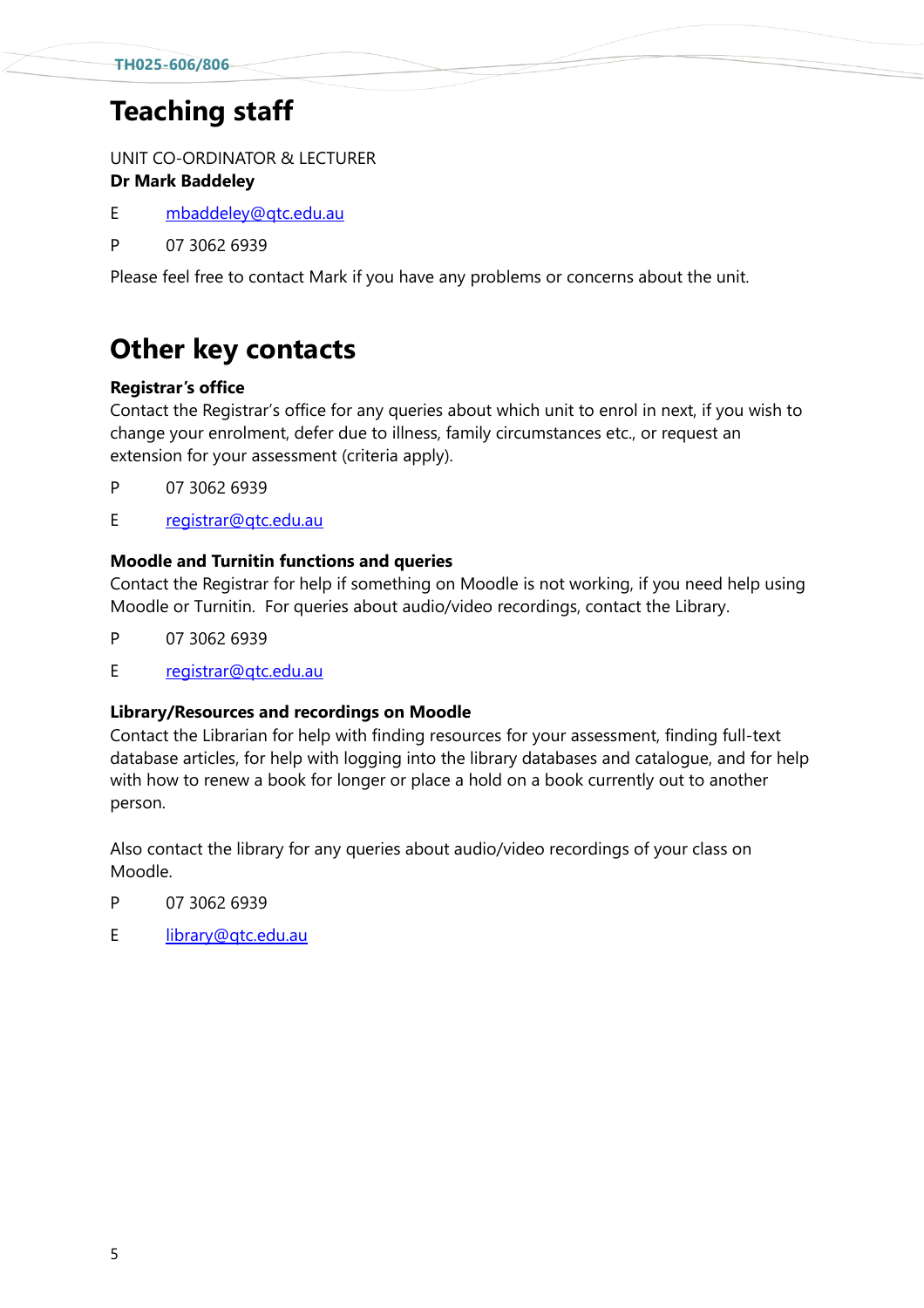# **Teaching staff**

UNIT CO-ORDINATOR & LECTURER **Dr Mark Baddeley**

- E [mbaddeley@qtc.edu.au](mailto:mbaddeley@qtc.edu.au)
- P 07 3062 6939

Please feel free to contact Mark if you have any problems or concerns about the unit.

# **Other key contacts**

#### **Registrar's office**

Contact the Registrar's office for any queries about which unit to enrol in next, if you wish to change your enrolment, defer due to illness, family circumstances etc., or request an extension for your assessment (criteria apply).

- P 07 3062 6939
- E [registrar@qtc.edu.au](mailto:registrar@qtc.edu.au)

#### **Moodle and Turnitin functions and queries**

Contact the Registrar for help if something on Moodle is not working, if you need help using Moodle or Turnitin. For queries about audio/video recordings, contact the Library.

- P 07 3062 6939
- E [registrar@qtc.edu.au](mailto:registrar@qtc.edu.au)

#### **Library/Resources and recordings on Moodle**

Contact the Librarian for help with finding resources for your assessment, finding full-text database articles, for help with logging into the library databases and catalogue, and for help with how to renew a book for longer or place a hold on a book currently out to another person.

Also contact the library for any queries about audio/video recordings of your class on Moodle.

- P 07 3062 6939
- E [library@qtc.edu.au](mailto:library@qtc.edu.au)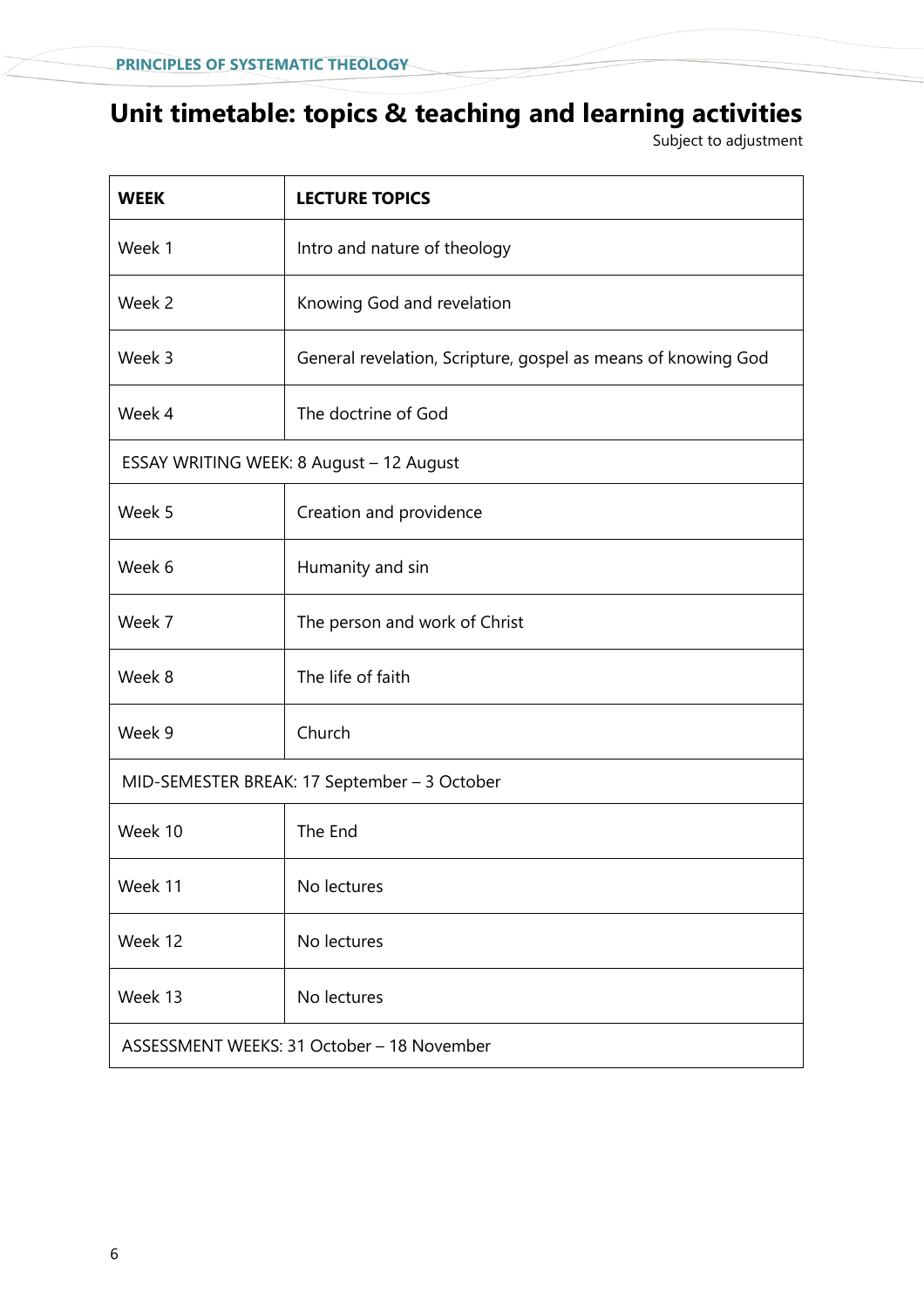# **Unit timetable: topics & teaching and learning activities**

Subject to adjustment

| <b>WEEK</b>                                  | <b>LECTURE TOPICS</b>                                         |  |  |
|----------------------------------------------|---------------------------------------------------------------|--|--|
| Week 1                                       | Intro and nature of theology                                  |  |  |
| Week 2                                       | Knowing God and revelation                                    |  |  |
| Week 3                                       | General revelation, Scripture, gospel as means of knowing God |  |  |
| Week 4                                       | The doctrine of God                                           |  |  |
| ESSAY WRITING WEEK: 8 August - 12 August     |                                                               |  |  |
| Week 5                                       | Creation and providence                                       |  |  |
| Week 6                                       | Humanity and sin                                              |  |  |
| Week 7                                       | The person and work of Christ                                 |  |  |
| Week 8                                       | The life of faith                                             |  |  |
| Week 9                                       | Church                                                        |  |  |
| MID-SEMESTER BREAK: 17 September - 3 October |                                                               |  |  |
| Week 10                                      | The End                                                       |  |  |
| Week 11                                      | No lectures                                                   |  |  |
| Week 12                                      | No lectures                                                   |  |  |
| Week 13                                      | No lectures                                                   |  |  |
| ASSESSMENT WEEKS: 31 October - 18 November   |                                                               |  |  |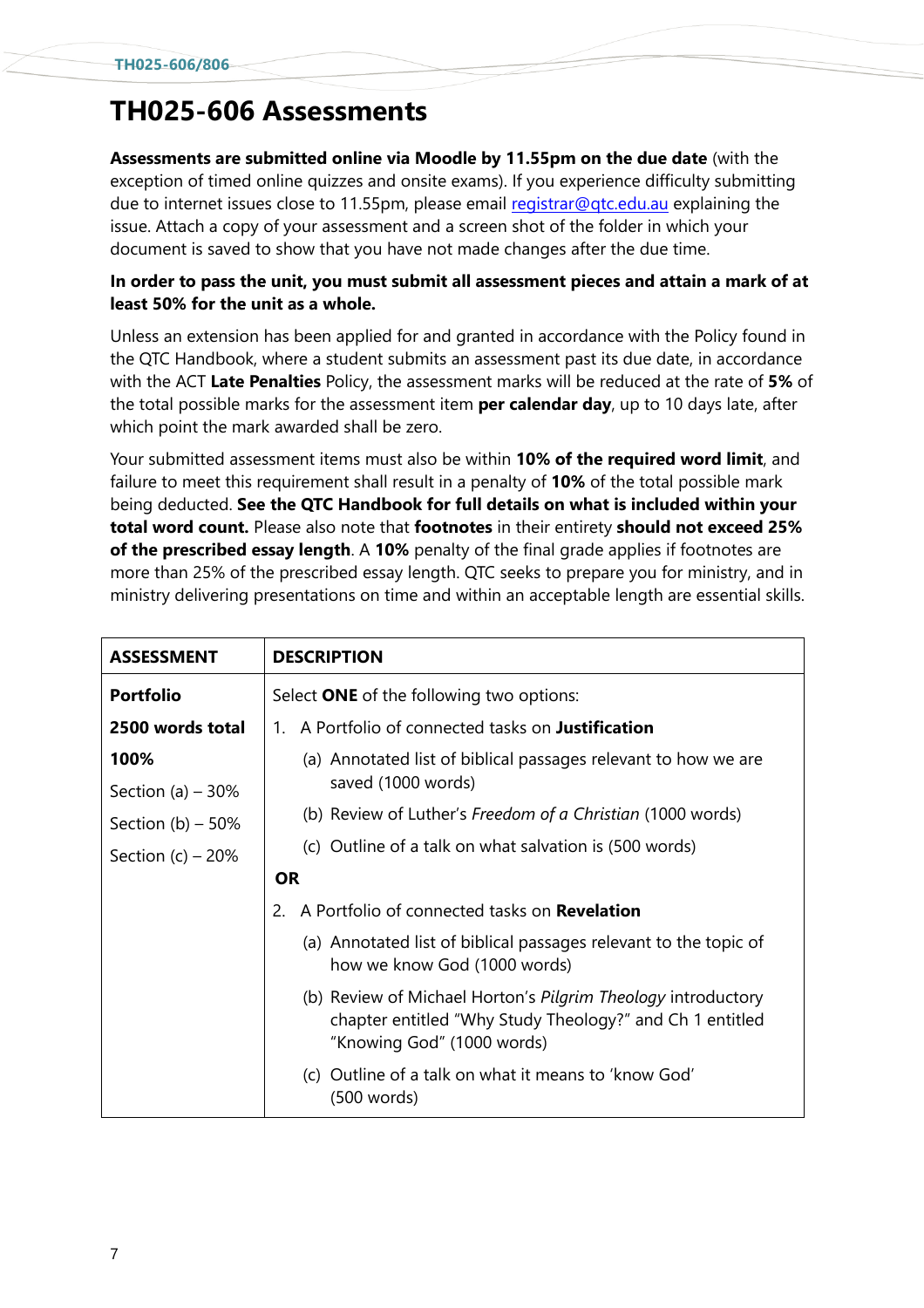# **TH025-606 Assessments**

**Assessments are submitted online via Moodle by 11.55pm on the due date** (with the exception of timed online quizzes and onsite exams). If you experience difficulty submitting due to internet issues close to 11.55pm, please email registrar@gtc.edu.au explaining the issue. Attach a copy of your assessment and a screen shot of the folder in which your document is saved to show that you have not made changes after the due time.

#### **In order to pass the unit, you must submit all assessment pieces and attain a mark of at least 50% for the unit as a whole.**

Unless an extension has been applied for and granted in accordance with the Policy found in the QTC Handbook, where a student submits an assessment past its due date, in accordance with the ACT **Late Penalties** Policy, the assessment marks will be reduced at the rate of **5%** of the total possible marks for the assessment item **per calendar day**, up to 10 days late, after which point the mark awarded shall be zero.

Your submitted assessment items must also be within **10% of the required word limit**, and failure to meet this requirement shall result in a penalty of **10%** of the total possible mark being deducted. **See the QTC Handbook for full details on what is included within your total word count.** Please also note that **footnotes** in their entirety **should not exceed 25% of the prescribed essay length**. A **10%** penalty of the final grade applies if footnotes are more than 25% of the prescribed essay length. QTC seeks to prepare you for ministry, and in ministry delivering presentations on time and within an acceptable length are essential skills.

| <b>ASSESSMENT</b>   | <b>DESCRIPTION</b>                                                                                                                                     |  |  |
|---------------------|--------------------------------------------------------------------------------------------------------------------------------------------------------|--|--|
| <b>Portfolio</b>    | Select <b>ONE</b> of the following two options:                                                                                                        |  |  |
| 2500 words total    | A Portfolio of connected tasks on <b>Justification</b><br>1                                                                                            |  |  |
| 100%                | (a) Annotated list of biblical passages relevant to how we are                                                                                         |  |  |
| Section (a) $-30\%$ | saved (1000 words)                                                                                                                                     |  |  |
| Section (b) $-50\%$ | (b) Review of Luther's Freedom of a Christian (1000 words)                                                                                             |  |  |
| Section $(c)$ – 20% | (c) Outline of a talk on what salvation is (500 words)                                                                                                 |  |  |
|                     | <b>OR</b>                                                                                                                                              |  |  |
|                     | A Portfolio of connected tasks on <b>Revelation</b><br>2.                                                                                              |  |  |
|                     | (a) Annotated list of biblical passages relevant to the topic of<br>how we know God (1000 words)                                                       |  |  |
|                     | (b) Review of Michael Horton's Pilgrim Theology introductory<br>chapter entitled "Why Study Theology?" and Ch 1 entitled<br>"Knowing God" (1000 words) |  |  |
|                     | (c) Outline of a talk on what it means to 'know God'<br>(500 words)                                                                                    |  |  |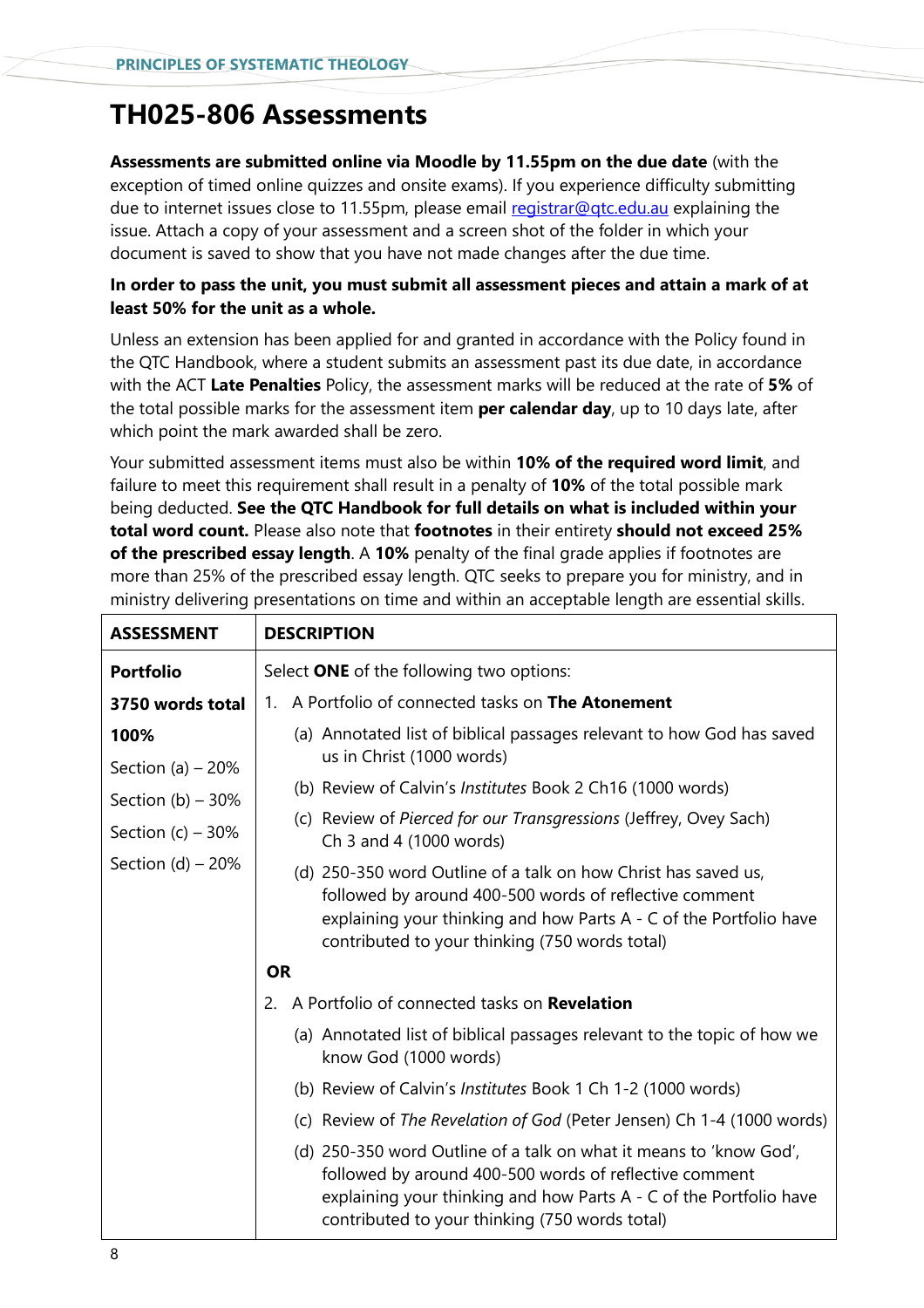# **TH025-806 Assessments**

**Assessments are submitted online via Moodle by 11.55pm on the due date** (with the exception of timed online quizzes and onsite exams). If you experience difficulty submitting due to internet issues close to 11.55pm, please email [registrar@qtc.edu.au](mailto:registrar@qtc.edu.au) explaining the issue. Attach a copy of your assessment and a screen shot of the folder in which your document is saved to show that you have not made changes after the due time.

#### **In order to pass the unit, you must submit all assessment pieces and attain a mark of at least 50% for the unit as a whole.**

Unless an extension has been applied for and granted in accordance with the Policy found in the QTC Handbook, where a student submits an assessment past its due date, in accordance with the ACT **Late Penalties** Policy, the assessment marks will be reduced at the rate of **5%** of the total possible marks for the assessment item **per calendar day**, up to 10 days late, after which point the mark awarded shall be zero.

Your submitted assessment items must also be within **10% of the required word limit**, and failure to meet this requirement shall result in a penalty of **10%** of the total possible mark being deducted. **See the QTC Handbook for full details on what is included within your total word count.** Please also note that **footnotes** in their entirety **should not exceed 25% of the prescribed essay length**. A **10%** penalty of the final grade applies if footnotes are more than 25% of the prescribed essay length. QTC seeks to prepare you for ministry, and in ministry delivering presentations on time and within an acceptable length are essential skills.

| <b>ASSESSMENT</b>                         | <b>DESCRIPTION</b>                                                                                                                                                                                                                                   |  |  |  |
|-------------------------------------------|------------------------------------------------------------------------------------------------------------------------------------------------------------------------------------------------------------------------------------------------------|--|--|--|
| <b>Portfolio</b>                          | Select ONE of the following two options:                                                                                                                                                                                                             |  |  |  |
| 3750 words total                          | 1. A Portfolio of connected tasks on The Atonement                                                                                                                                                                                                   |  |  |  |
| 100%                                      | (a) Annotated list of biblical passages relevant to how God has saved<br>us in Christ (1000 words)                                                                                                                                                   |  |  |  |
| Section (a) $-20%$<br>Section (b) $-30\%$ | (b) Review of Calvin's Institutes Book 2 Ch16 (1000 words)                                                                                                                                                                                           |  |  |  |
| Section $(c)$ – 30%                       | (c) Review of Pierced for our Transgressions (Jeffrey, Ovey Sach)<br>Ch 3 and 4 (1000 words)                                                                                                                                                         |  |  |  |
| Section (d) $-20\%$                       | (d) 250-350 word Outline of a talk on how Christ has saved us,<br>followed by around 400-500 words of reflective comment<br>explaining your thinking and how Parts A - C of the Portfolio have<br>contributed to your thinking (750 words total)     |  |  |  |
|                                           | <b>OR</b>                                                                                                                                                                                                                                            |  |  |  |
|                                           | A Portfolio of connected tasks on <b>Revelation</b><br>$\mathcal{P}$                                                                                                                                                                                 |  |  |  |
|                                           | (a) Annotated list of biblical passages relevant to the topic of how we<br>know God (1000 words)                                                                                                                                                     |  |  |  |
|                                           | (b) Review of Calvin's <i>Institutes</i> Book 1 Ch 1-2 (1000 words)                                                                                                                                                                                  |  |  |  |
|                                           | (c) Review of The Revelation of God (Peter Jensen) Ch 1-4 (1000 words)                                                                                                                                                                               |  |  |  |
|                                           | (d) 250-350 word Outline of a talk on what it means to 'know God',<br>followed by around 400-500 words of reflective comment<br>explaining your thinking and how Parts A - C of the Portfolio have<br>contributed to your thinking (750 words total) |  |  |  |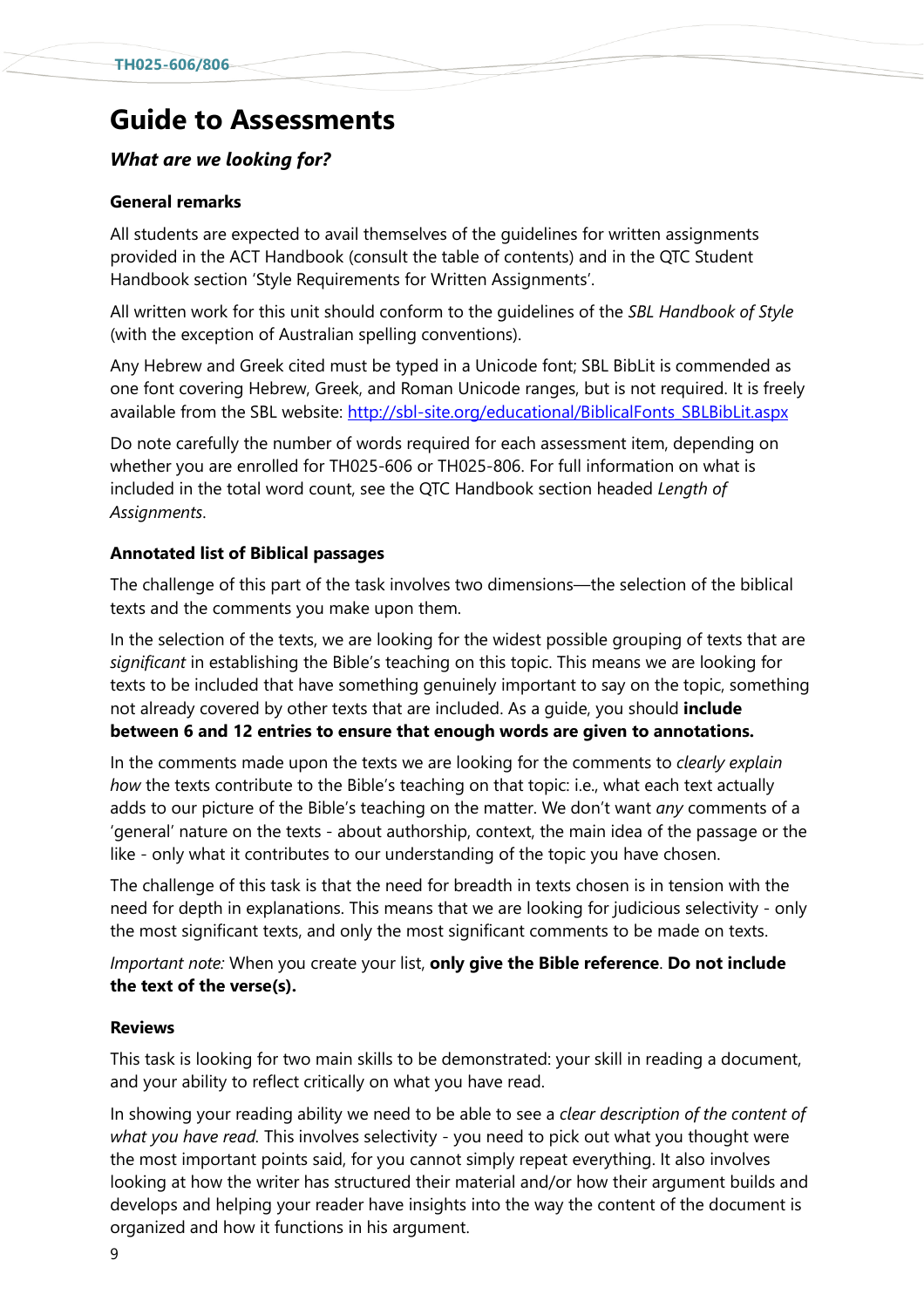# **Guide to Assessments**

#### *What are we looking for?*

#### **General remarks**

All students are expected to avail themselves of the guidelines for written assignments provided in the ACT Handbook (consult the table of contents) and in the QTC Student Handbook section 'Style Requirements for Written Assignments'.

All written work for this unit should conform to the guidelines of the *SBL Handbook of Style*  (with the exception of Australian spelling conventions).

Any Hebrew and Greek cited must be typed in a Unicode font; SBL BibLit is commended as one font covering Hebrew, Greek, and Roman Unicode ranges, but is not required. It is freely available from the SBL website: http://sbl-[site.org/educational/BiblicalFonts\\_SBLBibLit.aspx](http://sbl-site.org/educational/BiblicalFonts_SBLBibLit.aspx)

Do note carefully the number of words required for each assessment item, depending on whether you are enrolled for TH025-606 or TH025-806. For full information on what is included in the total word count, see the QTC Handbook section headed *Length of Assignments*.

#### **Annotated list of Biblical passages**

The challenge of this part of the task involves two dimensions—the selection of the biblical texts and the comments you make upon them.

In the selection of the texts, we are looking for the widest possible grouping of texts that are *significant* in establishing the Bible's teaching on this topic. This means we are looking for texts to be included that have something genuinely important to say on the topic, something not already covered by other texts that are included. As a guide, you should **include between 6 and 12 entries to ensure that enough words are given to annotations.**

In the comments made upon the texts we are looking for the comments to *clearly explain how* the texts contribute to the Bible's teaching on that topic: i.e., what each text actually adds to our picture of the Bible's teaching on the matter. We don't want *any* comments of a 'general' nature on the texts - about authorship, context, the main idea of the passage or the like - only what it contributes to our understanding of the topic you have chosen.

The challenge of this task is that the need for breadth in texts chosen is in tension with the need for depth in explanations. This means that we are looking for judicious selectivity - only the most significant texts, and only the most significant comments to be made on texts.

*Important note:* When you create your list, **only give the Bible reference**. **Do not include the text of the verse(s).**

#### **Reviews**

This task is looking for two main skills to be demonstrated: your skill in reading a document, and your ability to reflect critically on what you have read.

In showing your reading ability we need to be able to see a *clear description of the content of what you have read.* This involves selectivity - you need to pick out what you thought were the most important points said, for you cannot simply repeat everything. It also involves looking at how the writer has structured their material and/or how their argument builds and develops and helping your reader have insights into the way the content of the document is organized and how it functions in his argument.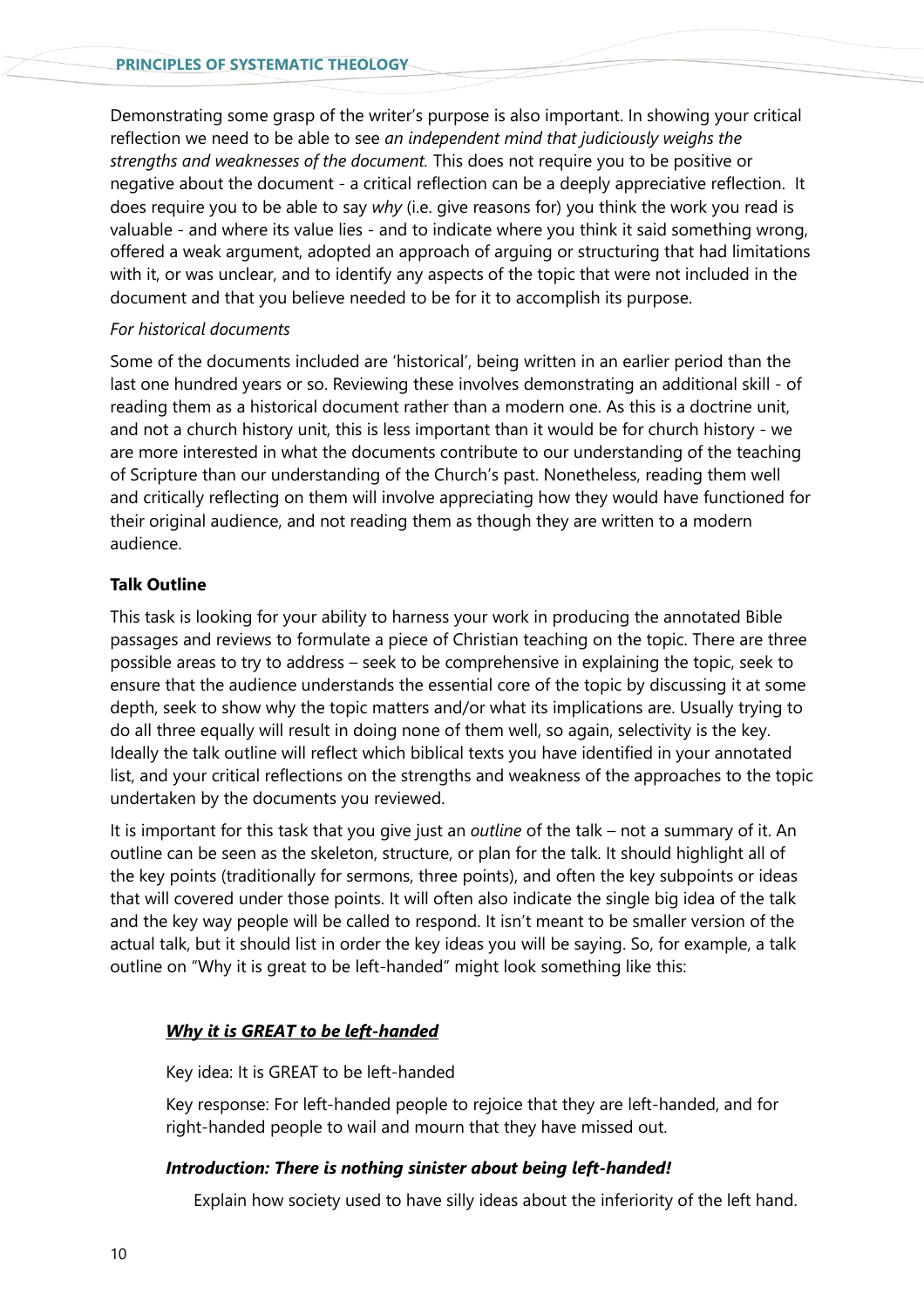Demonstrating some grasp of the writer's purpose is also important. In showing your critical reflection we need to be able to see *an independent mind that judiciously weighs the strengths and weaknesses of the document.* This does not require you to be positive or negative about the document - a critical reflection can be a deeply appreciative reflection. It does require you to be able to say *why* (i.e. give reasons for) you think the work you read is valuable - and where its value lies - and to indicate where you think it said something wrong, offered a weak argument, adopted an approach of arguing or structuring that had limitations with it, or was unclear, and to identify any aspects of the topic that were not included in the document and that you believe needed to be for it to accomplish its purpose.

#### *For historical documents*

Some of the documents included are 'historical', being written in an earlier period than the last one hundred years or so. Reviewing these involves demonstrating an additional skill - of reading them as a historical document rather than a modern one. As this is a doctrine unit, and not a church history unit, this is less important than it would be for church history - we are more interested in what the documents contribute to our understanding of the teaching of Scripture than our understanding of the Church's past. Nonetheless, reading them well and critically reflecting on them will involve appreciating how they would have functioned for their original audience, and not reading them as though they are written to a modern audience.

#### **Talk Outline**

This task is looking for your ability to harness your work in producing the annotated Bible passages and reviews to formulate a piece of Christian teaching on the topic. There are three possible areas to try to address – seek to be comprehensive in explaining the topic, seek to ensure that the audience understands the essential core of the topic by discussing it at some depth, seek to show why the topic matters and/or what its implications are. Usually trying to do all three equally will result in doing none of them well, so again, selectivity is the key. Ideally the talk outline will reflect which biblical texts you have identified in your annotated list, and your critical reflections on the strengths and weakness of the approaches to the topic undertaken by the documents you reviewed.

It is important for this task that you give just an *outline* of the talk – not a summary of it. An outline can be seen as the skeleton, structure, or plan for the talk. It should highlight all of the key points (traditionally for sermons, three points), and often the key subpoints or ideas that will covered under those points. It will often also indicate the single big idea of the talk and the key way people will be called to respond. It isn't meant to be smaller version of the actual talk, but it should list in order the key ideas you will be saying. So, for example, a talk outline on "Why it is great to be left-handed" might look something like this:

#### *Why it is GREAT to be left-handed*

#### Key idea: It is GREAT to be left-handed

Key response: For left-handed people to rejoice that they are left-handed, and for right-handed people to wail and mourn that they have missed out.

#### *Introduction: There is nothing sinister about being left-handed!*

Explain how society used to have silly ideas about the inferiority of the left hand.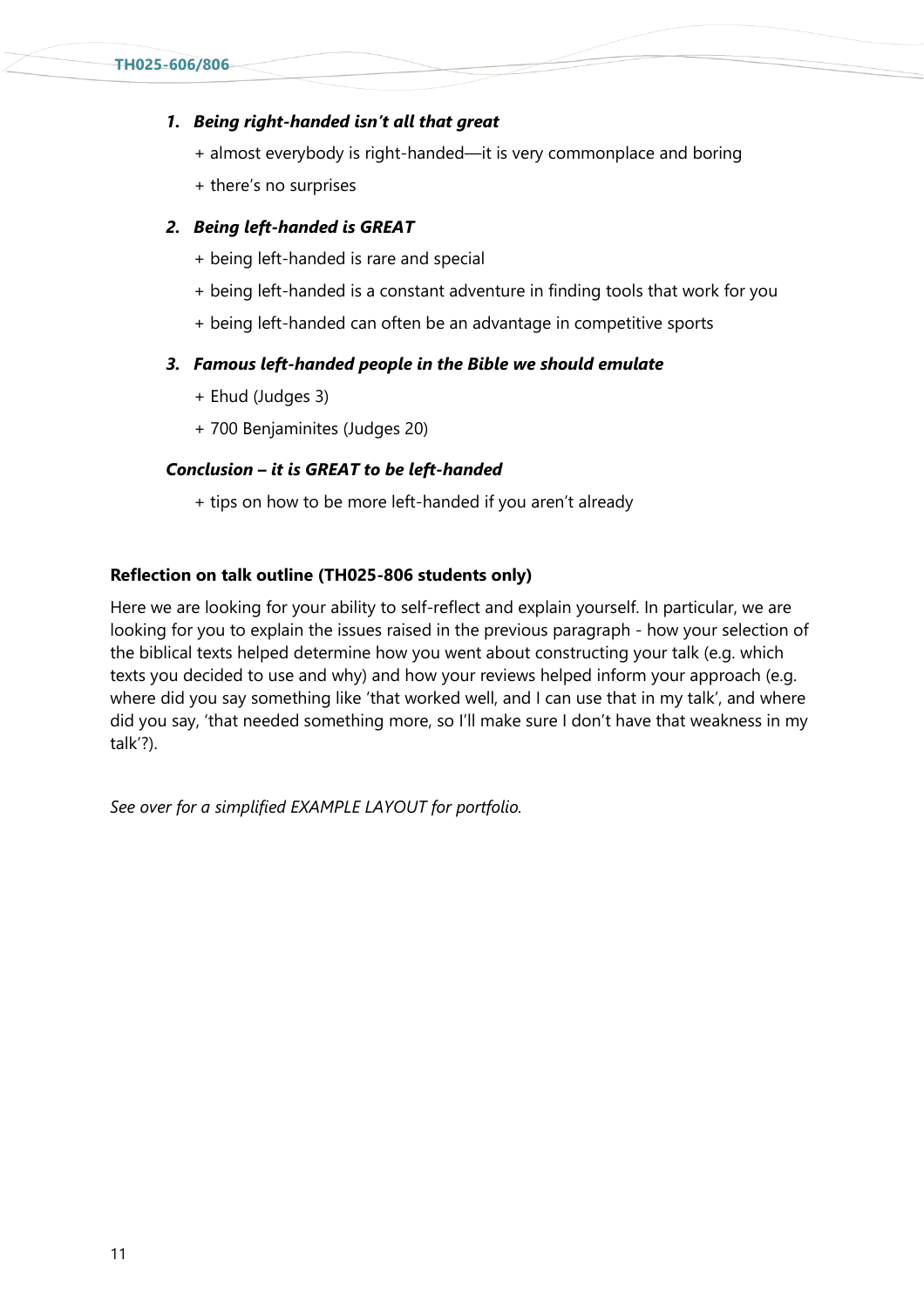#### *1. Being right-handed isn't all that great*

- + almost everybody is right-handed—it is very commonplace and boring
- + there's no surprises

#### *2. Being left-handed is GREAT*

- + being left-handed is rare and special
- + being left-handed is a constant adventure in finding tools that work for you
- + being left-handed can often be an advantage in competitive sports

#### *3. Famous left-handed people in the Bible we should emulate*

- + Ehud (Judges 3)
- + 700 Benjaminites (Judges 20)

#### *Conclusion – it is GREAT to be left-handed*

+ tips on how to be more left-handed if you aren't already

#### **Reflection on talk outline (TH025-806 students only)**

Here we are looking for your ability to self-reflect and explain yourself. In particular, we are looking for you to explain the issues raised in the previous paragraph - how your selection of the biblical texts helped determine how you went about constructing your talk (e.g. which texts you decided to use and why) and how your reviews helped inform your approach (e.g. where did you say something like 'that worked well, and I can use that in my talk', and where did you say, 'that needed something more, so I'll make sure I don't have that weakness in my talk'?).

*See over for a simplified EXAMPLE LAYOUT for portfolio.*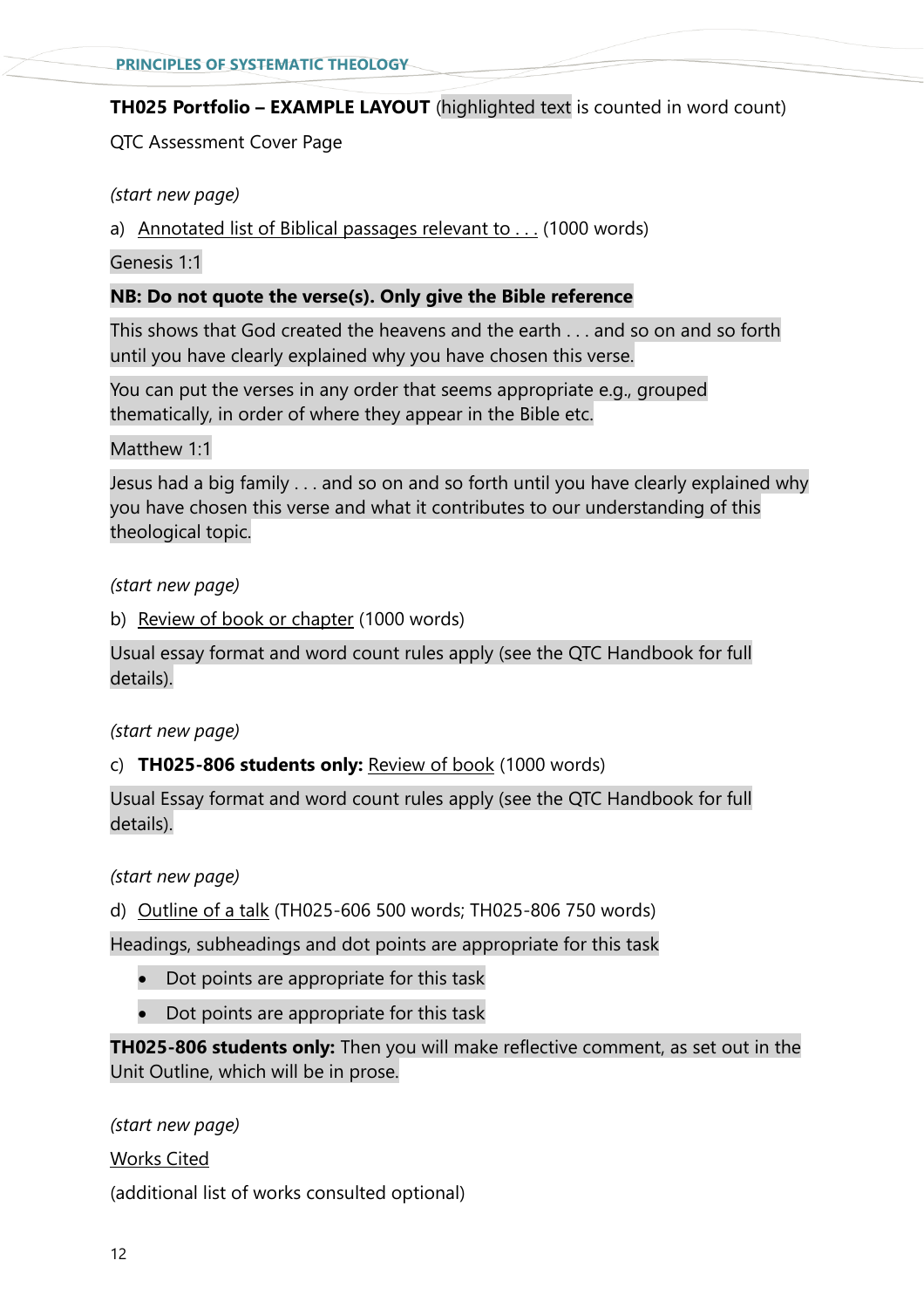#### **TH025 Portfolio – EXAMPLE LAYOUT** (highlighted text is counted in word count)

QTC Assessment Cover Page

*(start new page)*

a) Annotated list of Biblical passages relevant to . . . (1000 words)

Genesis 1:1

#### **NB: Do not quote the verse(s). Only give the Bible reference**

This shows that God created the heavens and the earth . . . and so on and so forth until you have clearly explained why you have chosen this verse.

You can put the verses in any order that seems appropriate e.g., grouped thematically, in order of where they appear in the Bible etc.

Matthew 1<sup>.</sup>1

Jesus had a big family . . . and so on and so forth until you have clearly explained why you have chosen this verse and what it contributes to our understanding of this theological topic.

*(start new page)*

b) Review of book or chapter (1000 words)

Usual essay format and word count rules apply (see the QTC Handbook for full details).

*(start new page)*

#### c) **TH025-806 students only:** Review of book (1000 words)

Usual Essay format and word count rules apply (see the QTC Handbook for full details).

*(start new page)*

d) Outline of a talk (TH025-606 500 words; TH025-806 750 words)

Headings, subheadings and dot points are appropriate for this task

- Dot points are appropriate for this task
- Dot points are appropriate for this task

**TH025-806 students only:** Then you will make reflective comment, as set out in the Unit Outline, which will be in prose.

*(start new page)* Works Cited (additional list of works consulted optional)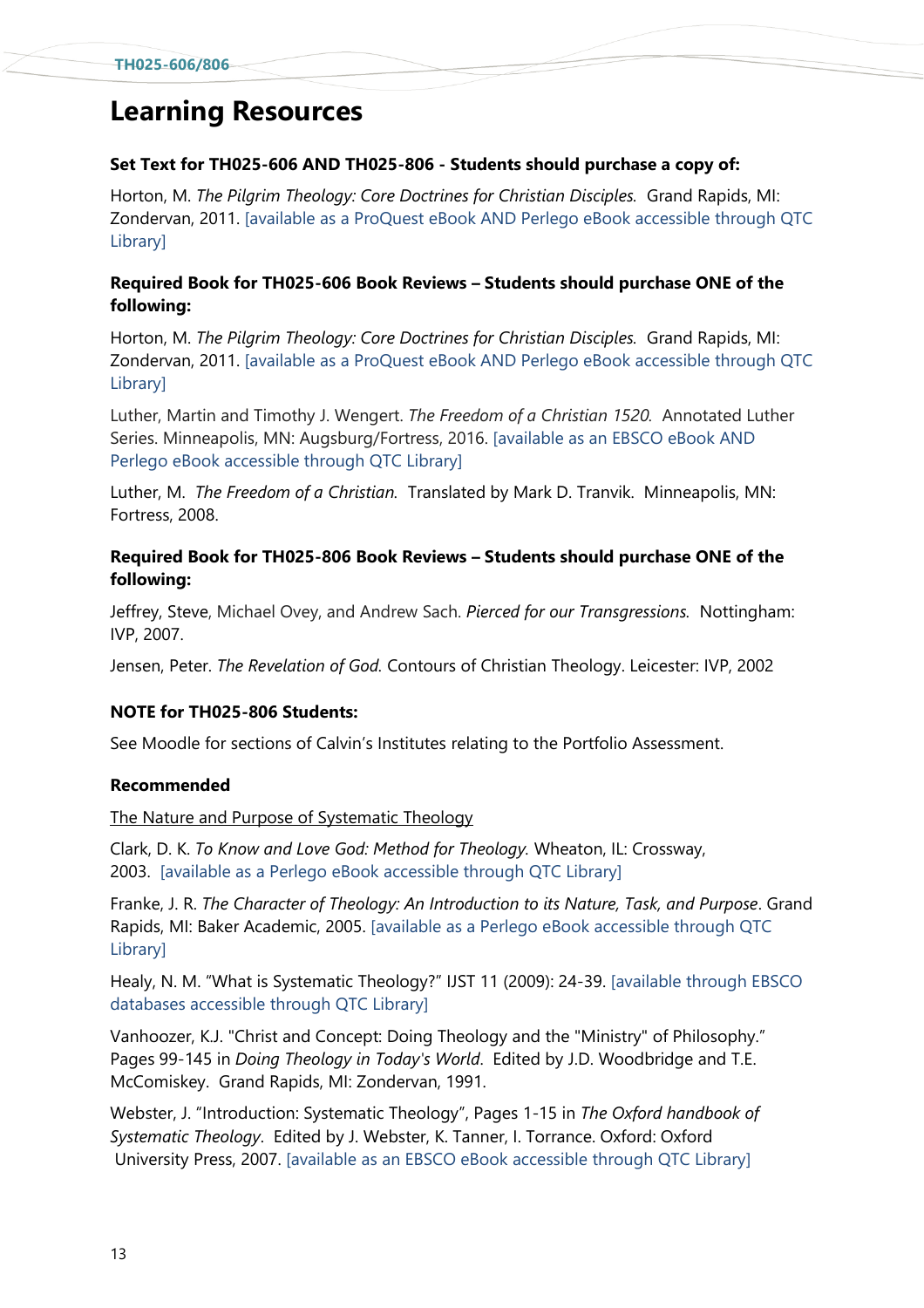# **Learning Resources**

#### **Set Text for TH025-606 AND TH025-806 - Students should purchase a copy of:**

Horton, M. *The Pilgrim Theology: Core Doctrines for Christian Disciples.* Grand Rapids, MI: Zondervan, 2011. [available as a ProQuest eBook AND Perlego eBook accessible through QTC Library]

#### **Required Book for TH025-606 Book Reviews – Students should purchase ONE of the following:**

Horton, M. *The Pilgrim Theology: Core Doctrines for Christian Disciples.* Grand Rapids, MI: Zondervan, 2011. [available as a ProQuest eBook AND Perlego eBook accessible through QTC Library]

Luther, Martin and Timothy J. Wengert. *The Freedom of a Christian 1520.* Annotated Luther Series. Minneapolis, MN: Augsburg/Fortress, 2016. [available as an EBSCO eBook AND Perlego eBook accessible through QTC Library]

Luther, M. *The Freedom of a Christian.* Translated by Mark D. Tranvik. Minneapolis, MN: Fortress, 2008.

#### **Required Book for TH025-806 Book Reviews – Students should purchase ONE of the following:**

Jeffrey, Steve, Michael Ovey, and Andrew Sach. *Pierced for our Transgressions.* Nottingham: IVP, 2007.

Jensen, Peter. *The Revelation of God.* Contours of Christian Theology. Leicester: IVP, 2002

#### **NOTE for TH025-806 Students:**

See Moodle for sections of Calvin's Institutes relating to the Portfolio Assessment.

#### **Recommended**

The Nature and Purpose of Systematic Theology

Clark, D. K. *To Know and Love God: Method for Theology.* Wheaton, IL: Crossway, 2003. [available as a Perlego eBook accessible through QTC Library]

Franke, J. R. *The Character of Theology: An Introduction to its Nature, Task, and Purpose*. Grand Rapids, MI: Baker Academic, 2005. [available as a Perlego eBook accessible through QTC Library]

Healy, N. M. "What is Systematic Theology?" IJST 11 (2009): 24-39. [available through EBSCO databases accessible through QTC Library]

Vanhoozer, K.J. "Christ and Concept: Doing Theology and the "Ministry" of Philosophy." Pages 99-145 in *Doing Theology in Today's World*. Edited by J.D. Woodbridge and T.E. McComiskey. Grand Rapids, MI: Zondervan, 1991.

Webster, J. "Introduction: Systematic Theology", Pages 1-15 in *The Oxford handbook of Systematic Theology*. Edited by J. Webster, K. Tanner, I. Torrance. Oxford: Oxford University Press, 2007. [available as an EBSCO eBook accessible through QTC Library]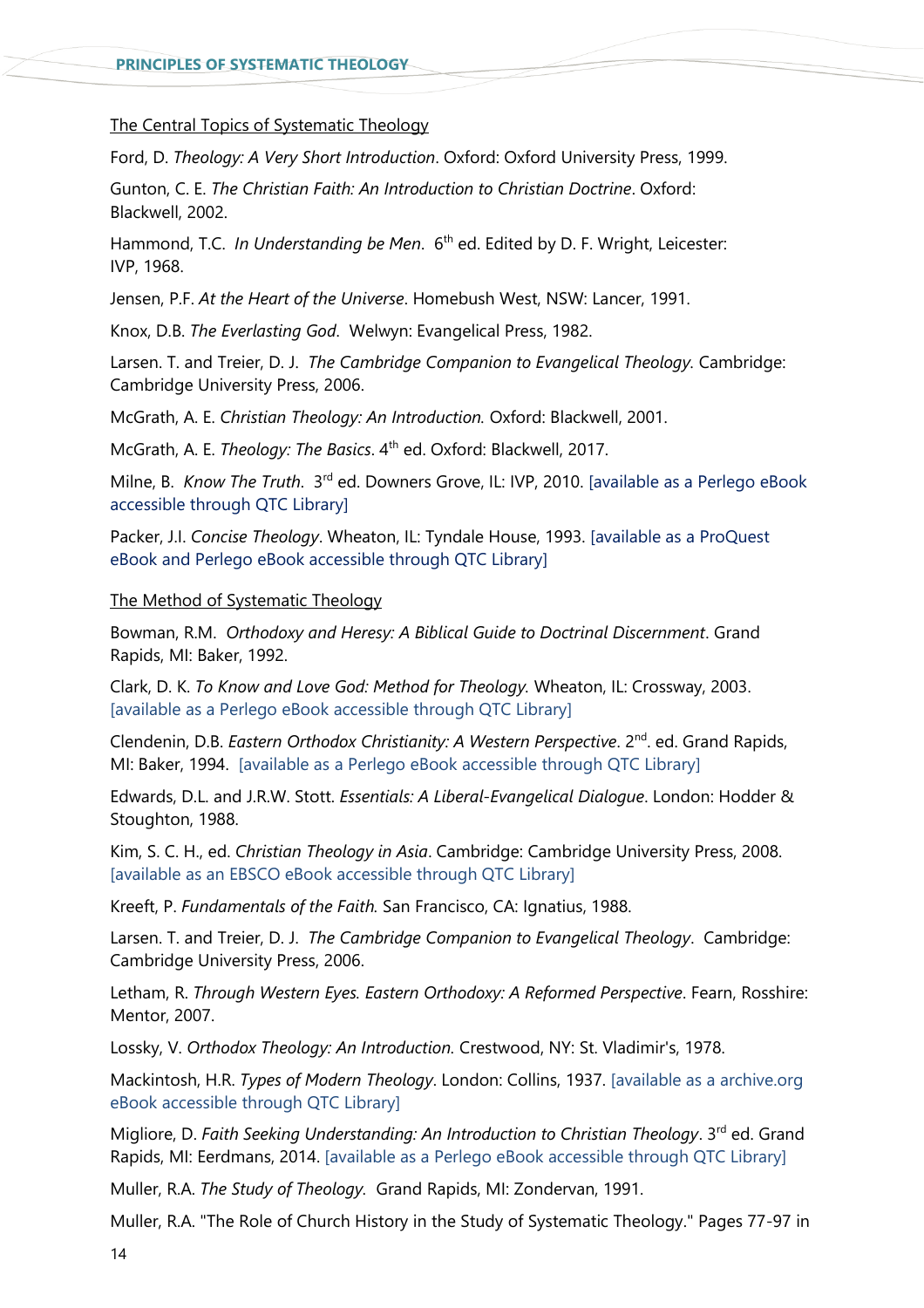#### The Central Topics of Systematic Theology

Ford, D. *Theology: A Very Short Introduction*. Oxford: Oxford University Press, 1999.

Gunton, C. E. *The Christian Faith: An Introduction to Christian Doctrine*. Oxford: Blackwell, 2002.

Hammond, T.C. *In Understanding be Men*. 6<sup>th</sup> ed. Edited by D. F. Wright, Leicester: IVP, 1968.

Jensen, P.F. *At the Heart of the Universe*. Homebush West, NSW: Lancer, 1991.

Knox, D.B. *The Everlasting God*. Welwyn: Evangelical Press, 1982.

Larsen. T. and Treier, D. J. *The Cambridge Companion to Evangelical Theology.* Cambridge: Cambridge University Press, 2006.

McGrath, A. E. *Christian Theology: An Introduction.* Oxford: Blackwell, 2001.

McGrath, A. E. *Theology: The Basics*. 4<sup>th</sup> ed. Oxford: Blackwell, 2017.

Milne, B. Know The Truth. 3<sup>rd</sup> ed. Downers Grove, IL: IVP, 2010. [available as a Perlego eBook accessible through QTC Library]

Packer, J.I. *Concise Theology*. Wheaton, IL: Tyndale House, 1993. [available as a ProQuest eBook and Perlego eBook accessible through QTC Library]

#### The Method of Systematic Theology

Bowman, R.M. *Orthodoxy and Heresy: A Biblical Guide to Doctrinal Discernment*. Grand Rapids, MI: Baker, 1992.

Clark, D. K. *To Know and Love God: Method for Theology.* Wheaton, IL: Crossway, 2003. [available as a Perlego eBook accessible through QTC Library]

Clendenin, D.B. *Eastern Orthodox Christianity: A Western Perspective*. 2<sup>nd</sup>. ed. Grand Rapids, MI: Baker, 1994. [available as a Perlego eBook accessible through QTC Library]

Edwards, D.L. and J.R.W. Stott. *Essentials: A Liberal-Evangelical Dialogue*. London: Hodder & Stoughton, 1988.

Kim, S. C. H., ed. *Christian Theology in Asia*. Cambridge: Cambridge University Press, 2008. [available as an EBSCO eBook accessible through QTC Library]

Kreeft, P. *Fundamentals of the Faith.* San Francisco, CA: Ignatius, 1988.

Larsen. T. and Treier, D. J. *The Cambridge Companion to Evangelical Theology*. Cambridge: Cambridge University Press, 2006.

Letham, R. *Through Western Eyes. Eastern Orthodoxy: A Reformed Perspective*. Fearn, Rosshire: Mentor, 2007.

Lossky, V. *Orthodox Theology: An Introduction.* Crestwood, NY: St. Vladimir's, 1978.

Mackintosh, H.R. *Types of Modern Theology*. London: Collins, 1937. [available as a archive.org eBook accessible through QTC Library]

Migliore, D. *Faith Seeking Understanding: An Introduction to Christian Theology*. 3<sup>rd</sup> ed. Grand Rapids, MI: Eerdmans, 2014. [available as a Perlego eBook accessible through QTC Library]

Muller, R.A. *The Study of Theology.* Grand Rapids, MI: Zondervan, 1991.

Muller, R.A. "The Role of Church History in the Study of Systematic Theology." Pages 77-97 in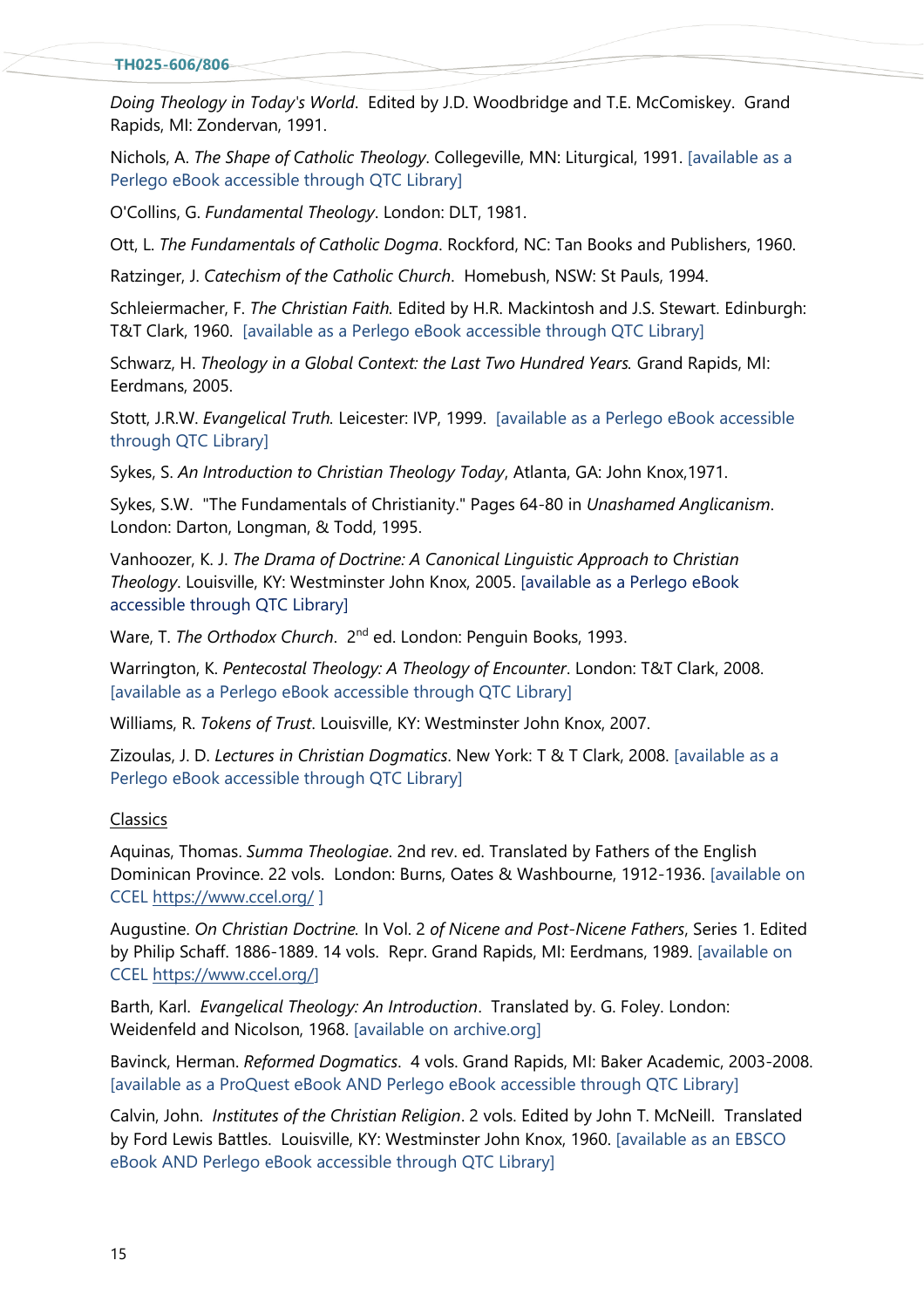#### **TH025-606/806**

*Doing Theology in Today's World*. Edited by J.D. Woodbridge and T.E. McComiskey. Grand Rapids, MI: Zondervan, 1991.

Nichols, A. *The Shape of Catholic Theology*. Collegeville, MN: Liturgical, 1991. [available as a Perlego eBook accessible through QTC Library]

O'Collins, G. *Fundamental Theology*. London: DLT, 1981.

Ott, L. *The Fundamentals of Catholic Dogma*. Rockford, NC: Tan Books and Publishers, 1960.

Ratzinger, J. *Catechism of the Catholic Church*. Homebush, NSW: St Pauls, 1994.

Schleiermacher, F. *The Christian Faith.* Edited by H.R. Mackintosh and J.S. Stewart. Edinburgh: T&T Clark, 1960. [available as a Perlego eBook accessible through QTC Library]

Schwarz, H. *Theology in a Global Context: the Last Two Hundred Years.* Grand Rapids, MI: Eerdmans, 2005.

Stott, J.R.W. *Evangelical Truth.* Leicester: IVP, 1999. [available as a Perlego eBook accessible through QTC Library]

Sykes, S. *An Introduction to Christian Theology Today*, Atlanta, GA: John Knox,1971.

Sykes, S.W. "The Fundamentals of Christianity." Pages 64-80 in *Unashamed Anglicanism*. London: Darton, Longman, & Todd, 1995.

Vanhoozer, K. J. *The Drama of Doctrine: A Canonical Linguistic Approach to Christian Theology*. Louisville, KY: Westminster John Knox, 2005. [available as a Perlego eBook accessible through QTC Library]

Ware, T. *The Orthodox Church*. 2<sup>nd</sup> ed. London: Penguin Books, 1993.

Warrington, K. *Pentecostal Theology: A Theology of Encounter*. London: T&T Clark, 2008. [available as a Perlego eBook accessible through QTC Library]

Williams, R. *Tokens of Trust*. Louisville, KY: Westminster John Knox, 2007.

Zizoulas, J. D. *Lectures in Christian Dogmatics*. New York: T & T Clark, 2008. [available as a Perlego eBook accessible through QTC Library]

#### Classics

Aquinas, Thomas. *Summa Theologiae*. 2nd rev. ed. Translated by Fathers of the English Dominican Province. 22 vols. London: Burns, Oates & Washbourne, 1912-1936. [available on CCEL<https://www.ccel.org/> ]

Augustine. *On Christian Doctrine.* In Vol. 2 *of Nicene and Post-Nicene Fathers*, Series 1. Edited by Philip Schaff. 1886-1889. 14 vols. Repr. Grand Rapids, MI: Eerdmans, 1989. [available on CCEL [https://www.ccel.org/\]](https://www.ccel.org/)

Barth, Karl. *Evangelical Theology: An Introduction*. Translated by. G. Foley. London: Weidenfeld and Nicolson, 1968. [available on archive.org]

Bavinck, Herman. *Reformed Dogmatics*. 4 vols. Grand Rapids, MI: Baker Academic, 2003-2008. [available as a ProQuest eBook AND Perlego eBook accessible through QTC Library]

Calvin, John. *Institutes of the Christian Religion*. 2 vols. Edited by John T. McNeill. Translated by Ford Lewis Battles. Louisville, KY: Westminster John Knox, 1960. [available as an EBSCO eBook AND Perlego eBook accessible through QTC Library]